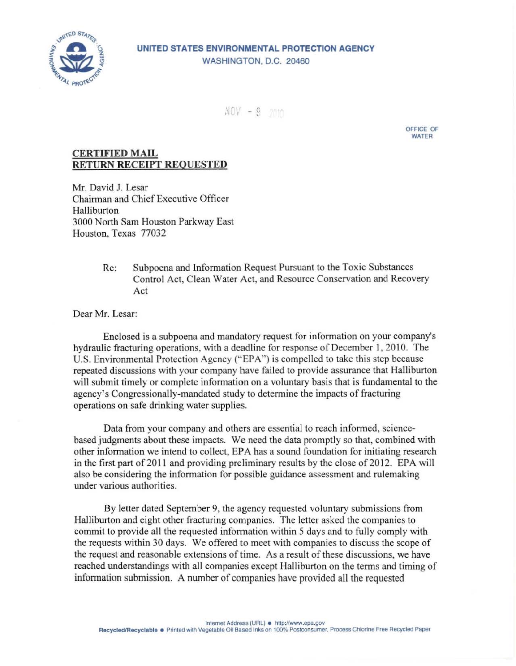

## UNITED STATES ENVIRONMENTAL PROTECTION AGENCY WASHINGTON, D.C. 20460

 $NOV = 9$  2010

OFFICE OF WATER

## **CERTIFIED MAIL** RETURN RECEIPT REQUESTED

Mr. David J. Lesar Chairman and Chief Executive Officer Halliburton 3000 North Sam Houston Parkway East Houston, Texas 77032

> Re: Subpoena and Information Request Pursuant to the Toxic Substances Control Act, Clean Water Act, and Resource Conservation and Recovery Act

Dear Mr. Lesar:

Enclosed is a subpoena and mandatory request for information on your company's hydraulic fracturing operations, with a deadline for response of December 1, 2010. The U.S. Environmental Protection Agency ("EPA") is compelled to take this step because repeated discussions with your company have failed to provide assurance that Halliburton will submit timely or complete information on a voluntary basis that is fundamental to the agency's Congressionally-mandated study to determine the impacts of fracturing operations on safe drinking water supplies.

Data from your company and others are essential to reach informed, sciencebased judgments about these impacts. We need the data promptly so that, combined with other information we intend to collect, EPA has a sound foundation for initiating research in the first part of 2011 and providing preliminary results by the close of 2012. EPA will also be considering the information for possible guidance assessment and rulemaking under various authorities.

By letter dated September 9, the agency requested voluntary submissions from Halliburton and eight other fracturing companies. The letter asked the companies to commit to provide all the requested information within 5 days and to fully comply with the requests within 30 days. We offered to meet with companies to discuss the scope of the request and reasonable extensions of time. As a result of these discussions, we have reached understandings with all companies except Halliburton on the terms and timing of information submission. A number of companies have provided all the requested